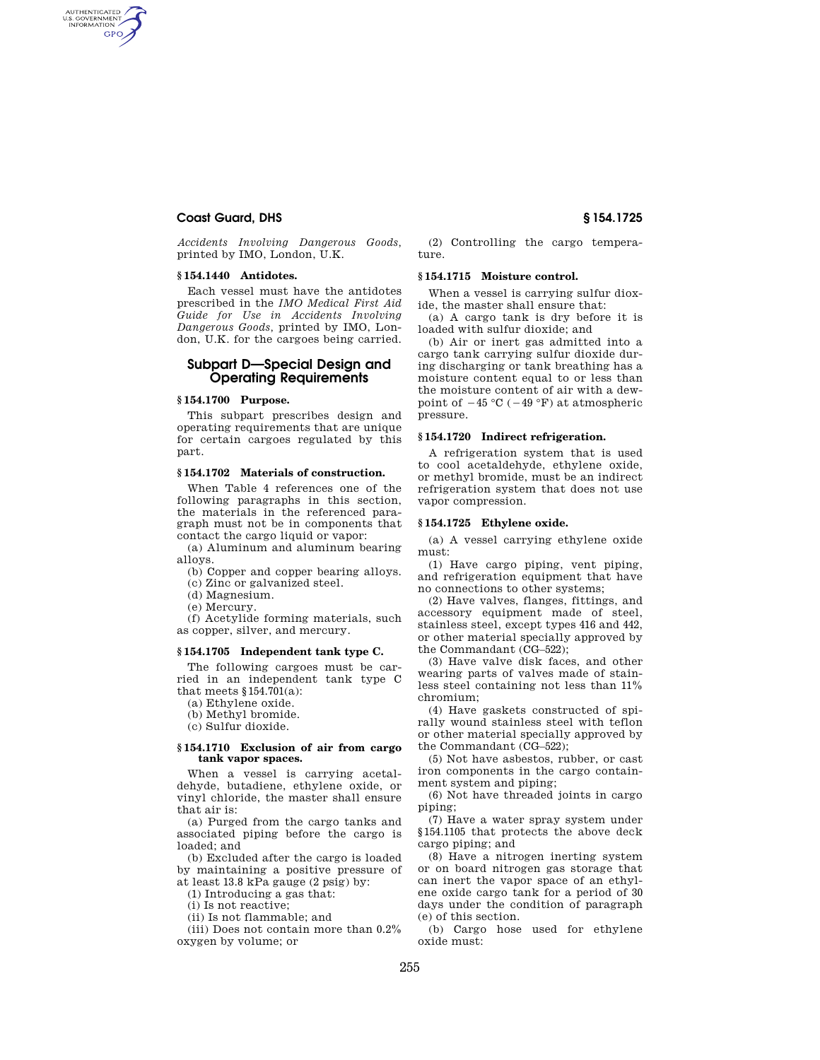# **Coast Guard, DHS § 154.1725**

AUTHENTICATED<br>U.S. GOVERNMENT<br>INFORMATION **GPO** 

> *Accidents Involving Dangerous Goods,*  printed by IMO, London, U.K.

## **§ 154.1440 Antidotes.**

Each vessel must have the antidotes prescribed in the *IMO Medical First Aid Guide for Use in Accidents Involving Dangerous Goods,* printed by IMO, London, U.K. for the cargoes being carried.

# **Subpart D—Special Design and Operating Requirements**

## **§ 154.1700 Purpose.**

This subpart prescribes design and operating requirements that are unique for certain cargoes regulated by this part.

# **§ 154.1702 Materials of construction.**

When Table 4 references one of the following paragraphs in this section, the materials in the referenced paragraph must not be in components that contact the cargo liquid or vapor:

(a) Aluminum and aluminum bearing alloys.

(b) Copper and copper bearing alloys.

(c) Zinc or galvanized steel.

(d) Magnesium.

(e) Mercury.

(f) Acetylide forming materials, such as copper, silver, and mercury.

#### **§ 154.1705 Independent tank type C.**

The following cargoes must be carried in an independent tank type C that meets §154.701(a):

(a) Ethylene oxide.

(b) Methyl bromide.

(c) Sulfur dioxide.

#### **§ 154.1710 Exclusion of air from cargo tank vapor spaces.**

When a vessel is carrying acetaldehyde, butadiene, ethylene oxide, or vinyl chloride, the master shall ensure that air is:

(a) Purged from the cargo tanks and associated piping before the cargo is loaded; and

(b) Excluded after the cargo is loaded by maintaining a positive pressure of

at least 13.8 kPa gauge (2 psig) by:

(1) Introducing a gas that:

(i) Is not reactive;

(ii) Is not flammable; and

(iii) Does not contain more than 0.2% oxygen by volume; or

(2) Controlling the cargo temperature.

#### **§ 154.1715 Moisture control.**

When a vessel is carrying sulfur dioxide, the master shall ensure that:

(a) A cargo tank is dry before it is loaded with sulfur dioxide; and

(b) Air or inert gas admitted into a cargo tank carrying sulfur dioxide during discharging or tank breathing has a moisture content equal to or less than the moisture content of air with a dewpoint of  $-45$  °C ( $-49$  °F) at atmospheric pressure.

#### **§ 154.1720 Indirect refrigeration.**

A refrigeration system that is used to cool acetaldehyde, ethylene oxide, or methyl bromide, must be an indirect refrigeration system that does not use vapor compression.

## **§ 154.1725 Ethylene oxide.**

(a) A vessel carrying ethylene oxide must:

(1) Have cargo piping, vent piping, and refrigeration equipment that have no connections to other systems;

(2) Have valves, flanges, fittings, and accessory equipment made of steel, stainless steel, except types 416 and 442, or other material specially approved by the Commandant (CG–522);

(3) Have valve disk faces, and other wearing parts of valves made of stainless steel containing not less than 11% chromium;

(4) Have gaskets constructed of spirally wound stainless steel with teflon or other material specially approved by the Commandant (CG–522);

(5) Not have asbestos, rubber, or cast iron components in the cargo containment system and piping;

(6) Not have threaded joints in cargo piping;

(7) Have a water spray system under §154.1105 that protects the above deck cargo piping; and

(8) Have a nitrogen inerting system or on board nitrogen gas storage that can inert the vapor space of an ethylene oxide cargo tank for a period of 30 days under the condition of paragraph (e) of this section.

(b) Cargo hose used for ethylene oxide must: